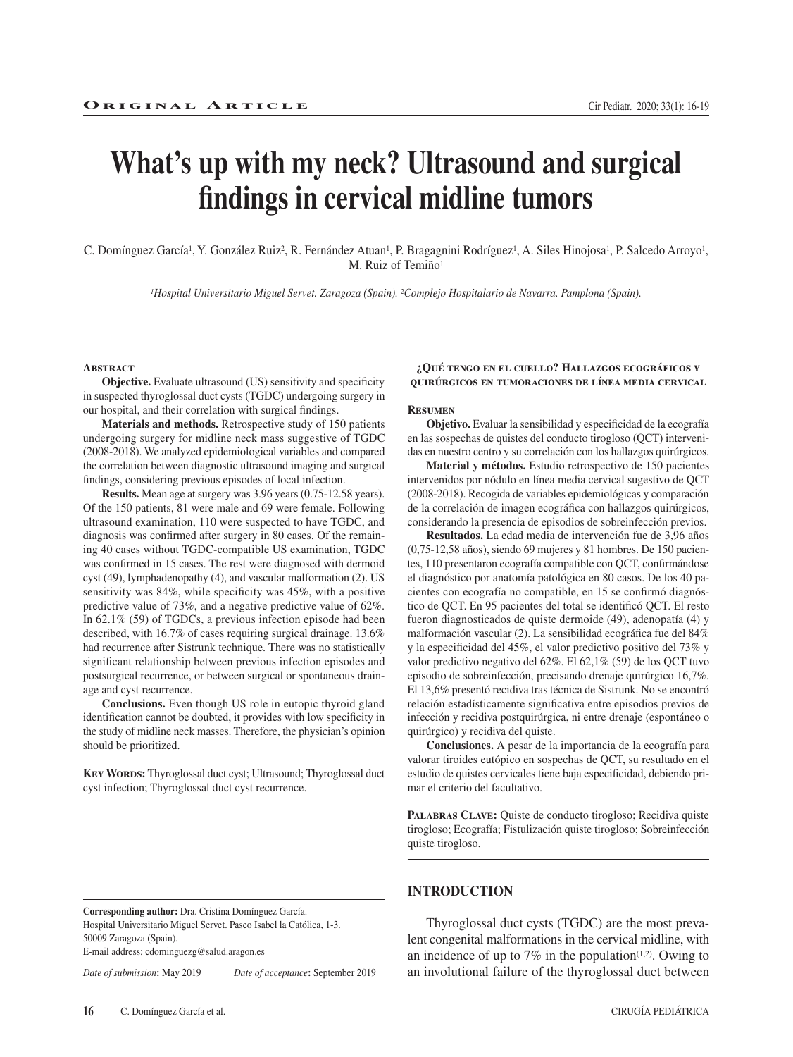# **What's up with my neck? Ultrasound and surgical findings in cervical midline tumors**

C. Domínguez García<sup>1</sup>, Y. González Ruiz<sup>2</sup>, R. Fernández Atuan<sup>1</sup>, P. Bragagnini Rodríguez<sup>1</sup>, A. Siles Hinojosa<sup>1</sup>, P. Salcedo Arroyo<sup>1</sup>, M. Ruiz of Temiño<sup>1</sup>

*1Hospital Universitario Miguel Servet. Zaragoza (Spain). 2Complejo Hospitalario de Navarra. Pamplona (Spain).*

#### **Abstract**

**Objective.** Evaluate ultrasound (US) sensitivity and specificity in suspected thyroglossal duct cysts (TGDC) undergoing surgery in our hospital, and their correlation with surgical findings.

**Materials and methods.** Retrospective study of 150 patients undergoing surgery for midline neck mass suggestive of TGDC (2008-2018). We analyzed epidemiological variables and compared the correlation between diagnostic ultrasound imaging and surgical findings, considering previous episodes of local infection.

**Results.** Mean age at surgery was 3.96 years (0.75-12.58 years). Of the 150 patients, 81 were male and 69 were female. Following ultrasound examination, 110 were suspected to have TGDC, and diagnosis was confirmed after surgery in 80 cases. Of the remaining 40 cases without TGDC-compatible US examination, TGDC was confirmed in 15 cases. The rest were diagnosed with dermoid cyst (49), lymphadenopathy (4), and vascular malformation (2). US sensitivity was 84%, while specificity was 45%, with a positive predictive value of 73%, and a negative predictive value of 62%. In 62.1% (59) of TGDCs, a previous infection episode had been described, with 16.7% of cases requiring surgical drainage. 13.6% had recurrence after Sistrunk technique. There was no statistically significant relationship between previous infection episodes and postsurgical recurrence, or between surgical or spontaneous drainage and cyst recurrence.

**Conclusions.** Even though US role in eutopic thyroid gland identification cannot be doubted, it provides with low specificity in the study of midline neck masses. Therefore, the physician's opinion should be prioritized.

**Key Words:** Thyroglossal duct cyst; Ultrasound; Thyroglossal duct cyst infection; Thyroglossal duct cyst recurrence.

**Corresponding author:** Dra. Cristina Domínguez García. Hospital Universitario Miguel Servet. Paseo Isabel la Católica, 1-3. 50009 Zaragoza (Spain). E-mail address: cdominguezg@salud.aragon.es

*Date of submission***:** May 2019 *Date of acceptance***:** September 2019

**¿Qué tengo en el cuello? Hallazgos ecográficos y quirúrgicos en tumoraciones de línea media cervical**

### **Resumen**

**Objetivo.** Evaluar la sensibilidad y especificidad de la ecografía en las sospechas de quistes del conducto tirogloso (QCT) intervenidas en nuestro centro y su correlación con los hallazgos quirúrgicos.

**Material y métodos.** Estudio retrospectivo de 150 pacientes intervenidos por nódulo en línea media cervical sugestivo de QCT (2008-2018). Recogida de variables epidemiológicas y comparación de la correlación de imagen ecográfica con hallazgos quirúrgicos, considerando la presencia de episodios de sobreinfección previos.

**Resultados.** La edad media de intervención fue de 3,96 años (0,75-12,58 años), siendo 69 mujeres y 81 hombres. De 150 pacientes, 110 presentaron ecografía compatible con QCT, confirmándose el diagnóstico por anatomía patológica en 80 casos. De los 40 pacientes con ecografía no compatible, en 15 se confirmó diagnóstico de QCT. En 95 pacientes del total se identificó QCT. El resto fueron diagnosticados de quiste dermoide (49), adenopatía (4) y malformación vascular (2). La sensibilidad ecográfica fue del 84% y la especificidad del 45%, el valor predictivo positivo del 73% y valor predictivo negativo del 62%. El 62,1% (59) de los QCT tuvo episodio de sobreinfección, precisando drenaje quirúrgico 16,7%. El 13,6% presentó recidiva tras técnica de Sistrunk. No se encontró relación estadísticamente significativa entre episodios previos de infección y recidiva postquirúrgica, ni entre drenaje (espontáneo o quirúrgico) y recidiva del quiste.

**Conclusiones.** A pesar de la importancia de la ecografía para valorar tiroides eutópico en sospechas de QCT, su resultado en el estudio de quistes cervicales tiene baja especificidad, debiendo primar el criterio del facultativo.

PALABRAS CLAVE: Quiste de conducto tirogloso; Recidiva quiste tirogloso; Ecografía; Fistulización quiste tirogloso; Sobreinfección quiste tirogloso.

# **INTRODUCTION**

Thyroglossal duct cysts (TGDC) are the most prevalent congenital malformations in the cervical midline, with an incidence of up to  $7\%$  in the population<sup> $(1,2)$ </sup>. Owing to an involutional failure of the thyroglossal duct between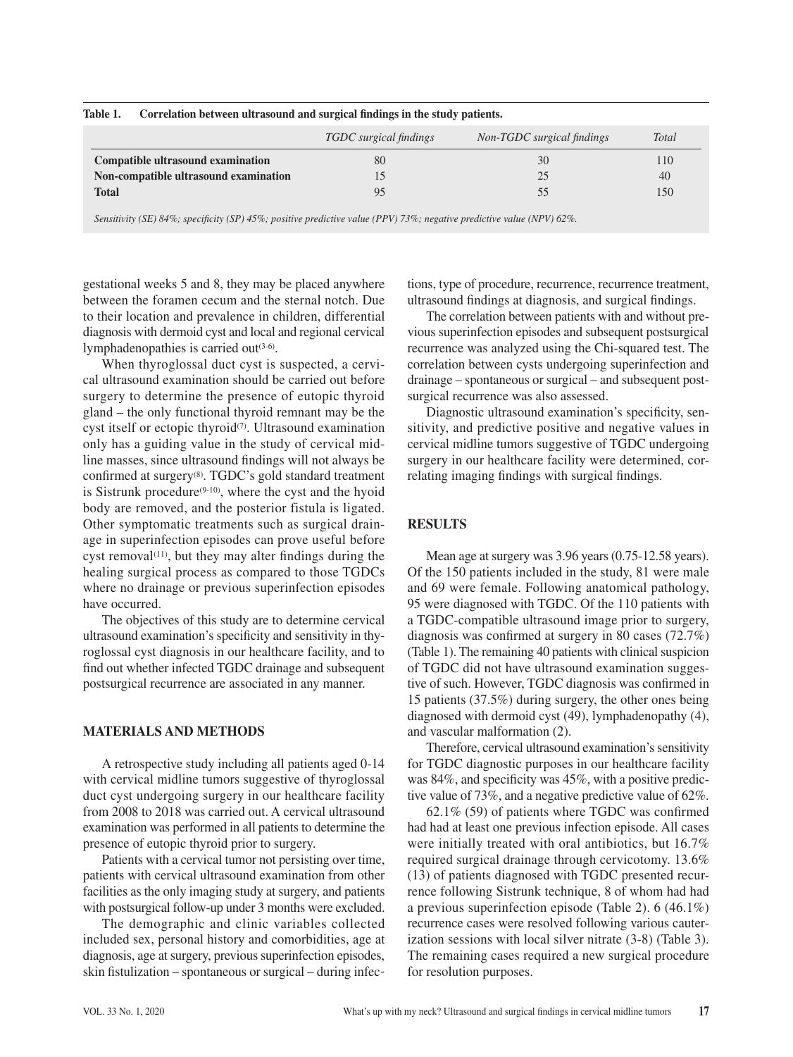|                                       | TGDC surgical findings | Non-TGDC surgical findings | <b>Total</b> |
|---------------------------------------|------------------------|----------------------------|--------------|
| Compatible ultrasound examination     | 80                     | 30                         | 110          |
| Non-compatible ultrasound examination |                        | 25                         | 40           |
| <b>Total</b>                          | 95                     |                            | 150          |
|                                       |                        |                            |              |

## **Table 1. Correlation between ultrasound and surgical findings in the study patients.**

*Sensitivity (SE) 84%; specificity (SP) 45%; positive predictive value (PPV) 73%; negative predictive value (NPV) 62%.*

gestational weeks 5 and 8, they may be placed anywhere between the foramen cecum and the sternal notch. Due to their location and prevalence in children, differential diagnosis with dermoid cyst and local and regional cervical lymphadenopathies is carried out $(3-6)$ .

When thyroglossal duct cyst is suspected, a cervical ultrasound examination should be carried out before surgery to determine the presence of eutopic thyroid gland – the only functional thyroid remnant may be the cyst itself or ectopic thyroid<sup>(7)</sup>. Ultrasound examination only has a guiding value in the study of cervical midline masses, since ultrasound findings will not always be confirmed at surgery(8). TGDC's gold standard treatment is Sistrunk procedure<sup>(9-10)</sup>, where the cyst and the hyoid body are removed, and the posterior fistula is ligated. Other symptomatic treatments such as surgical drainage in superinfection episodes can prove useful before cyst removal $(11)$ , but they may alter findings during the healing surgical process as compared to those TGDCs where no drainage or previous superinfection episodes have occurred.

The objectives of this study are to determine cervical ultrasound examination's specificity and sensitivity in thyroglossal cyst diagnosis in our healthcare facility, and to find out whether infected TGDC drainage and subsequent postsurgical recurrence are associated in any manner.

# **MATERIALS AND METHODS**

A retrospective study including all patients aged 0-14 with cervical midline tumors suggestive of thyroglossal duct cyst undergoing surgery in our healthcare facility from 2008 to 2018 was carried out. A cervical ultrasound examination was performed in all patients to determine the presence of eutopic thyroid prior to surgery.

Patients with a cervical tumor not persisting over time, patients with cervical ultrasound examination from other facilities as the only imaging study at surgery, and patients with postsurgical follow-up under 3 months were excluded.

The demographic and clinic variables collected included sex, personal history and comorbidities, age at diagnosis, age at surgery, previous superinfection episodes, skin fistulization – spontaneous or surgical – during infec-

tions, type of procedure, recurrence, recurrence treatment, ultrasound findings at diagnosis, and surgical findings.

The correlation between patients with and without previous superinfection episodes and subsequent postsurgical recurrence was analyzed using the Chi-squared test. The correlation between cysts undergoing superinfection and drainage – spontaneous or surgical – and subsequent postsurgical recurrence was also assessed.

Diagnostic ultrasound examination's specificity, sensitivity, and predictive positive and negative values in cervical midline tumors suggestive of TGDC undergoing surgery in our healthcare facility were determined, correlating imaging findings with surgical findings.

# **RESULTS**

Mean age at surgery was 3.96 years (0.75-12.58 years). Of the 150 patients included in the study, 81 were male and 69 were female. Following anatomical pathology, 95 were diagnosed with TGDC. Of the 110 patients with a TGDC-compatible ultrasound image prior to surgery, diagnosis was confirmed at surgery in 80 cases (72.7%) (Table 1). The remaining 40 patients with clinical suspicion of TGDC did not have ultrasound examination suggestive of such. However, TGDC diagnosis was confirmed in 15 patients (37.5%) during surgery, the other ones being diagnosed with dermoid cyst (49), lymphadenopathy (4), and vascular malformation (2).

Therefore, cervical ultrasound examination's sensitivity for TGDC diagnostic purposes in our healthcare facility was 84%, and specificity was 45%, with a positive predictive value of 73%, and a negative predictive value of 62%.

62.1% (59) of patients where TGDC was confirmed had had at least one previous infection episode. All cases were initially treated with oral antibiotics, but 16.7% required surgical drainage through cervicotomy. 13.6% (13) of patients diagnosed with TGDC presented recurrence following Sistrunk technique, 8 of whom had had a previous superinfection episode (Table 2). 6 (46.1%) recurrence cases were resolved following various cauterization sessions with local silver nitrate (3-8) (Table 3). The remaining cases required a new surgical procedure for resolution purposes.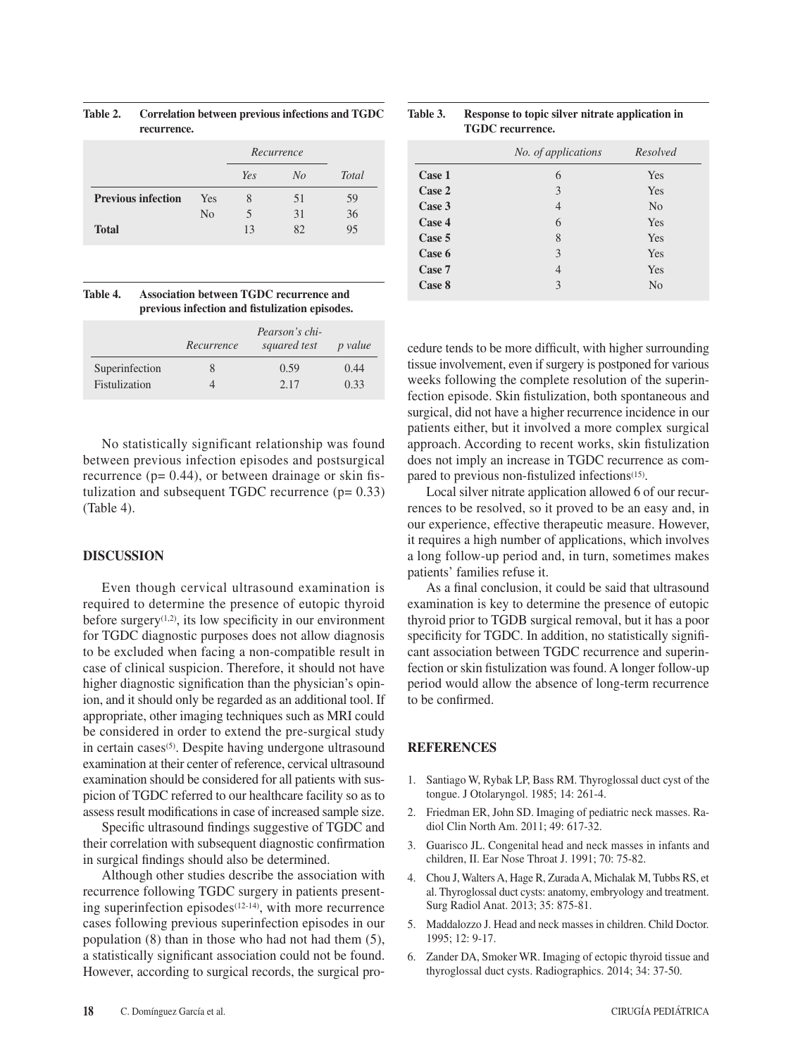|                           |                | Recurrence               |    |              |
|---------------------------|----------------|--------------------------|----|--------------|
|                           |                | Yes                      | No | <b>Total</b> |
| <b>Previous infection</b> | Yes            | 8                        | 51 | 59           |
|                           | N <sub>0</sub> | $\overline{\phantom{1}}$ | 31 | 36           |
| <b>Total</b>              |                | 13                       | 82 | 95           |

**Table 2. Correlation between previous infections and TGDC recurrence.**

| Table 4. | Association between TGDC recurrence and        |
|----------|------------------------------------------------|
|          | previous infection and fistulization episodes. |

|                | Pearson's chi-<br>squared test<br>Recurrence |      | <i>p</i> value |
|----------------|----------------------------------------------|------|----------------|
| Superinfection | 8                                            | 0.59 | 0.44           |
| Fistulization  |                                              | 2.17 | 0.33           |

No statistically significant relationship was found between previous infection episodes and postsurgical recurrence ( $p= 0.44$ ), or between drainage or skin fistulization and subsequent TGDC recurrence  $(p= 0.33)$ (Table 4).

# **DISCUSSION**

Even though cervical ultrasound examination is required to determine the presence of eutopic thyroid before surgery<sup>(1,2)</sup>, its low specificity in our environment for TGDC diagnostic purposes does not allow diagnosis to be excluded when facing a non-compatible result in case of clinical suspicion. Therefore, it should not have higher diagnostic signification than the physician's opinion, and it should only be regarded as an additional tool. If appropriate, other imaging techniques such as MRI could be considered in order to extend the pre-surgical study in certain cases<sup>(5)</sup>. Despite having undergone ultrasound examination at their center of reference, cervical ultrasound examination should be considered for all patients with suspicion of TGDC referred to our healthcare facility so as to assess result modifications in case of increased sample size.

Specific ultrasound findings suggestive of TGDC and their correlation with subsequent diagnostic confirmation in surgical findings should also be determined.

Although other studies describe the association with recurrence following TGDC surgery in patients presenting superinfection episodes<sup>(12-14)</sup>, with more recurrence cases following previous superinfection episodes in our population (8) than in those who had not had them (5), a statistically significant association could not be found. However, according to surgical records, the surgical pro-

| <b>TGDC</b> recurrence. |                     |                |  |  |
|-------------------------|---------------------|----------------|--|--|
|                         | No. of applications | Resolved       |  |  |
| Case 1                  | 6                   | Yes            |  |  |
| Case 2                  | 3                   | Yes            |  |  |
| Case 3                  | $\overline{4}$      | N <sub>0</sub> |  |  |
| Case 4                  | 6                   | Yes            |  |  |
| Case 5                  | 8                   | Yes            |  |  |
| Case 6                  | 3                   | Yes            |  |  |
| Case 7                  | 4                   | Yes            |  |  |
| Case 8                  | 3                   | N <sub>0</sub> |  |  |

**Table 3. Response to topic silver nitrate application in** 

cedure tends to be more difficult, with higher surrounding tissue involvement, even if surgery is postponed for various weeks following the complete resolution of the superinfection episode. Skin fistulization, both spontaneous and surgical, did not have a higher recurrence incidence in our patients either, but it involved a more complex surgical approach. According to recent works, skin fistulization does not imply an increase in TGDC recurrence as compared to previous non-fistulized infections<sup>(15)</sup>.

Local silver nitrate application allowed 6 of our recurrences to be resolved, so it proved to be an easy and, in our experience, effective therapeutic measure. However, it requires a high number of applications, which involves a long follow-up period and, in turn, sometimes makes patients' families refuse it.

As a final conclusion, it could be said that ultrasound examination is key to determine the presence of eutopic thyroid prior to TGDB surgical removal, but it has a poor specificity for TGDC. In addition, no statistically significant association between TGDC recurrence and superinfection or skin fistulization was found. A longer follow-up period would allow the absence of long-term recurrence to be confirmed.

# **REFERENCES**

- 1. Santiago W, Rybak LP, Bass RM. Thyroglossal duct cyst of the tongue. J Otolaryngol. 1985; 14: 261-4.
- 2. Friedman ER, John SD. Imaging of pediatric neck masses. Radiol Clin North Am. 2011; 49: 617-32.
- 3. Guarisco JL. Congenital head and neck masses in infants and children, II. Ear Nose Throat J. 1991; 70: 75-82.
- 4. Chou J, Walters A, Hage R, Zurada A, Michalak M, Tubbs RS, et al. Thyroglossal duct cysts: anatomy, embryology and treatment. Surg Radiol Anat. 2013; 35: 875-81.
- 5. Maddalozzo J. Head and neck masses in children. Child Doctor. 1995; 12: 9-17.
- 6. Zander DA, Smoker WR. Imaging of ectopic thyroid tissue and thyroglossal duct cysts. Radiographics. 2014; 34: 37-50.